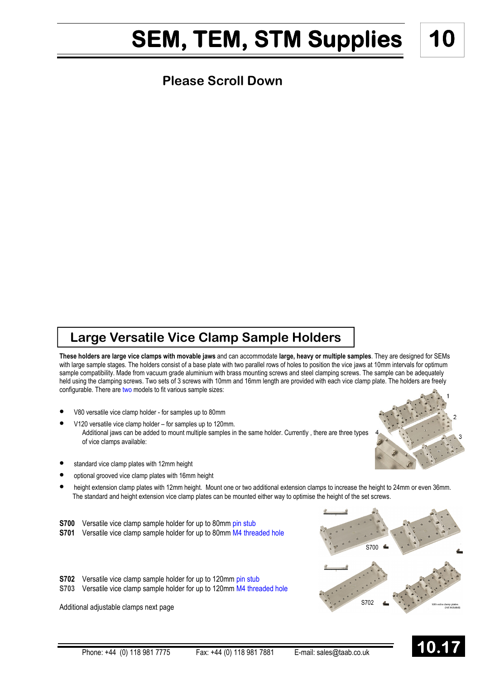## SEM, TEM, STM Supplies | 10

#### **Please Scroll Down**

### Large Versatile Vice Clamp Sample Holders

These holders are large vice clamps with movable jaws and can accommodate large, heavy or multiple samples. They are designed for SEMs with large sample stages. The holders consist of a base plate with two parallel rows of holes to position the vice jaws at 10mm intervals for optimum sample compatibility. Made from vacuum grade aluminium with brass mounting screws and steel clamping screws. The sample can be adequately held using the clamping screws. Two sets of 3 screws with 10mm and 16mm length are provided with each vice clamp plate. The holders are freely configurable. There are two models to fit various sample sizes:

- V80 versatile vice clamp holder for samples up to 80mm
- V120 versatile vice clamp holder for samples up to 120mm. Additional jaws can be added to mount multiple samples in the same holder. Currently , there are three types of vice clamps available:
- standard vice clamp plates with 12mm height
- optional grooved vice clamp plates with 16mm height
- height extension clamp plates with 12mm height. Mount one or two additional extension clamps to increase the height to 24mm or even 36mm. The standard and height extension vice clamp plates can be mounted either way to optimise the height of the set screws.
- **S700** Versatile vice clamp sample holder for up to 80mm pin stub S701 Versatile vice clamp sample holder for up to 80mm M4 threaded hole
- S702 Versatile vice clamp sample holder for up to 120mm pin stub
- S703 Versatile vice clamp sample holder for up to 120mm M4 threaded hole

Additional adjustable clamps next page